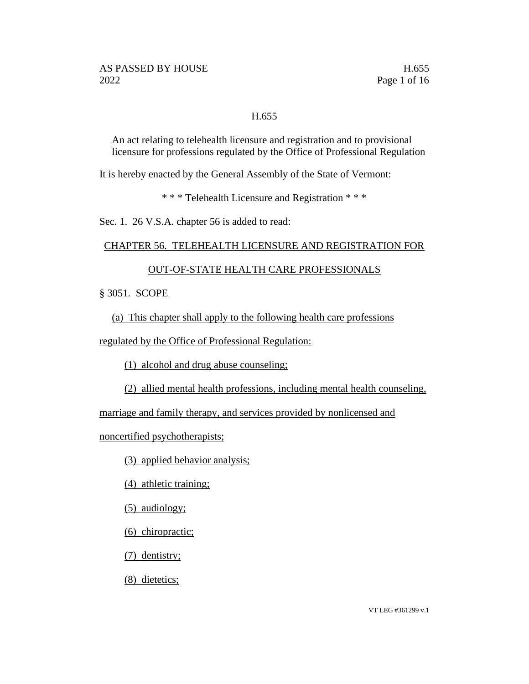#### H.655

An act relating to telehealth licensure and registration and to provisional licensure for professions regulated by the Office of Professional Regulation

It is hereby enacted by the General Assembly of the State of Vermont:

\* \* \* Telehealth Licensure and Registration \* \* \*

Sec. 1. 26 V.S.A. chapter 56 is added to read:

#### CHAPTER 56. TELEHEALTH LICENSURE AND REGISTRATION FOR

#### OUT-OF-STATE HEALTH CARE PROFESSIONALS

§ 3051. SCOPE

(a) This chapter shall apply to the following health care professions

regulated by the Office of Professional Regulation:

(1) alcohol and drug abuse counseling;

(2) allied mental health professions, including mental health counseling,

marriage and family therapy, and services provided by nonlicensed and

noncertified psychotherapists;

(3) applied behavior analysis;

(4) athletic training;

(5) audiology;

(6) chiropractic;

(7) dentistry;

(8) dietetics;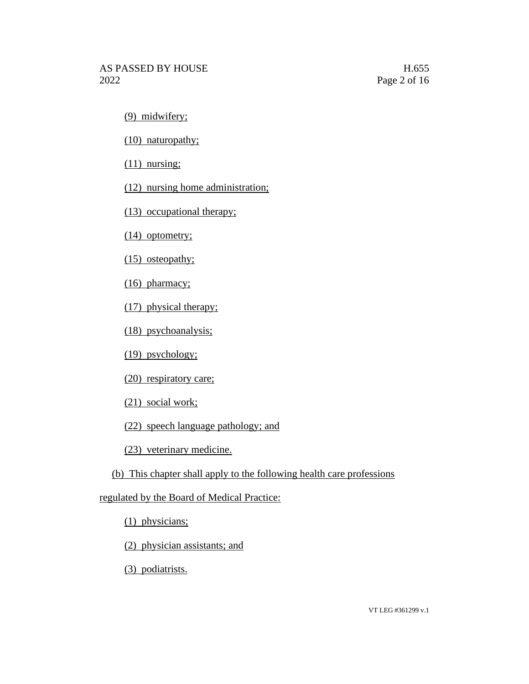(9) midwifery;

(10) naturopathy;

(11) nursing;

(12) nursing home administration;

(13) occupational therapy;

(14) optometry;

(15) osteopathy;

(16) pharmacy;

(17) physical therapy;

(18) psychoanalysis;

(19) psychology;

(20) respiratory care;

(21) social work;

(22) speech language pathology; and

(23) veterinary medicine.

(b) This chapter shall apply to the following health care professions

regulated by the Board of Medical Practice:

(1) physicians;

(2) physician assistants; and

(3) podiatrists.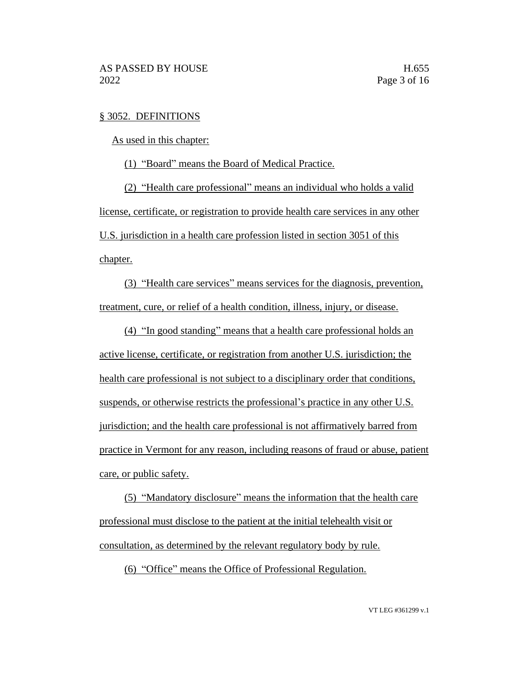#### § 3052. DEFINITIONS

As used in this chapter:

(1) "Board" means the Board of Medical Practice.

(2) "Health care professional" means an individual who holds a valid license, certificate, or registration to provide health care services in any other U.S. jurisdiction in a health care profession listed in section 3051 of this chapter.

(3) "Health care services" means services for the diagnosis, prevention, treatment, cure, or relief of a health condition, illness, injury, or disease.

(4) "In good standing" means that a health care professional holds an active license, certificate, or registration from another U.S. jurisdiction; the health care professional is not subject to a disciplinary order that conditions, suspends, or otherwise restricts the professional's practice in any other U.S. jurisdiction; and the health care professional is not affirmatively barred from practice in Vermont for any reason, including reasons of fraud or abuse, patient care, or public safety.

(5) "Mandatory disclosure" means the information that the health care professional must disclose to the patient at the initial telehealth visit or consultation, as determined by the relevant regulatory body by rule.

(6) "Office" means the Office of Professional Regulation.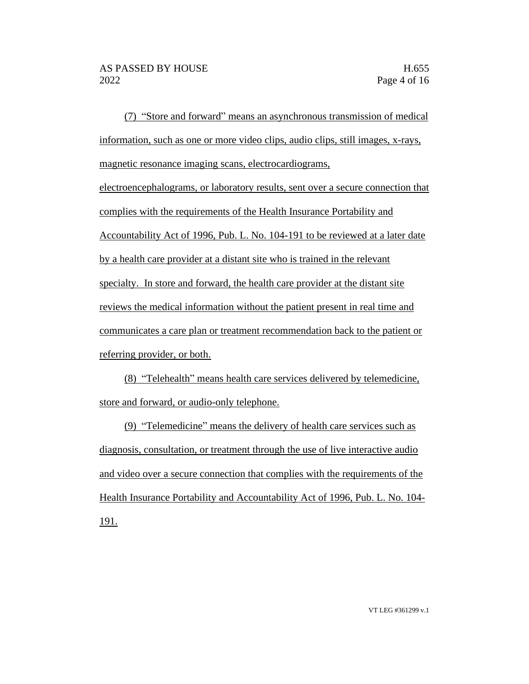(7) "Store and forward" means an asynchronous transmission of medical information, such as one or more video clips, audio clips, still images, x-rays, magnetic resonance imaging scans, electrocardiograms, electroencephalograms, or laboratory results, sent over a secure connection that complies with the requirements of the Health Insurance Portability and Accountability Act of 1996, Pub. L. No. 104-191 to be reviewed at a later date by a health care provider at a distant site who is trained in the relevant specialty. In store and forward, the health care provider at the distant site reviews the medical information without the patient present in real time and communicates a care plan or treatment recommendation back to the patient or referring provider, or both.

(8) "Telehealth" means health care services delivered by telemedicine, store and forward, or audio-only telephone.

(9) "Telemedicine" means the delivery of health care services such as diagnosis, consultation, or treatment through the use of live interactive audio and video over a secure connection that complies with the requirements of the Health Insurance Portability and Accountability Act of 1996, Pub. L. No. 104- 191.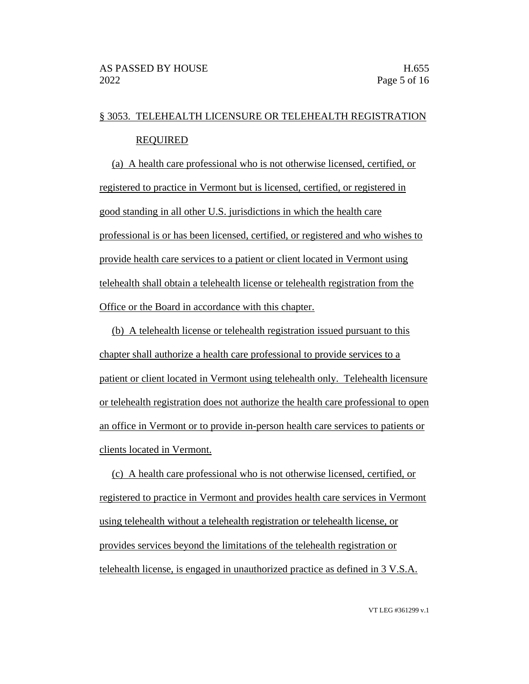## § 3053. TELEHEALTH LICENSURE OR TELEHEALTH REGISTRATION REQUIRED

(a) A health care professional who is not otherwise licensed, certified, or registered to practice in Vermont but is licensed, certified, or registered in good standing in all other U.S. jurisdictions in which the health care professional is or has been licensed, certified, or registered and who wishes to provide health care services to a patient or client located in Vermont using telehealth shall obtain a telehealth license or telehealth registration from the Office or the Board in accordance with this chapter.

(b) A telehealth license or telehealth registration issued pursuant to this chapter shall authorize a health care professional to provide services to a patient or client located in Vermont using telehealth only. Telehealth licensure or telehealth registration does not authorize the health care professional to open an office in Vermont or to provide in-person health care services to patients or clients located in Vermont.

(c) A health care professional who is not otherwise licensed, certified, or registered to practice in Vermont and provides health care services in Vermont using telehealth without a telehealth registration or telehealth license, or provides services beyond the limitations of the telehealth registration or telehealth license, is engaged in unauthorized practice as defined in 3 V.S.A.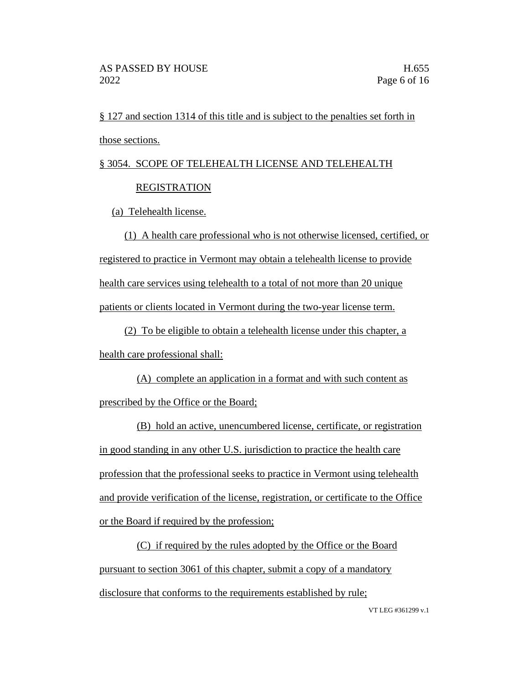§ 127 and section 1314 of this title and is subject to the penalties set forth in those sections.

# § 3054. SCOPE OF TELEHEALTH LICENSE AND TELEHEALTH

### **REGISTRATION**

(a) Telehealth license.

(1) A health care professional who is not otherwise licensed, certified, or registered to practice in Vermont may obtain a telehealth license to provide health care services using telehealth to a total of not more than 20 unique patients or clients located in Vermont during the two-year license term.

(2) To be eligible to obtain a telehealth license under this chapter, a health care professional shall:

(A) complete an application in a format and with such content as prescribed by the Office or the Board;

(B) hold an active, unencumbered license, certificate, or registration in good standing in any other U.S. jurisdiction to practice the health care profession that the professional seeks to practice in Vermont using telehealth and provide verification of the license, registration, or certificate to the Office or the Board if required by the profession;

(C) if required by the rules adopted by the Office or the Board pursuant to section 3061 of this chapter, submit a copy of a mandatory disclosure that conforms to the requirements established by rule;

VT LEG #361299 v.1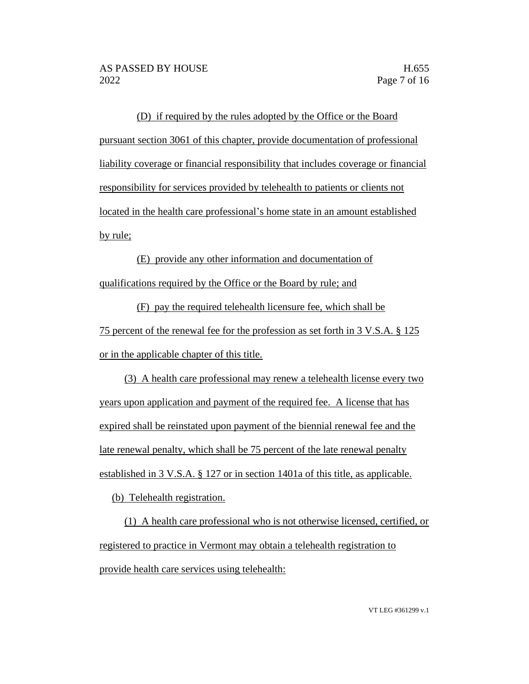(D) if required by the rules adopted by the Office or the Board pursuant section 3061 of this chapter, provide documentation of professional liability coverage or financial responsibility that includes coverage or financial responsibility for services provided by telehealth to patients or clients not located in the health care professional's home state in an amount established by rule;

(E) provide any other information and documentation of qualifications required by the Office or the Board by rule; and

(F) pay the required telehealth licensure fee, which shall be 75 percent of the renewal fee for the profession as set forth in 3 V.S.A. § 125 or in the applicable chapter of this title.

(3) A health care professional may renew a telehealth license every two years upon application and payment of the required fee. A license that has expired shall be reinstated upon payment of the biennial renewal fee and the late renewal penalty, which shall be 75 percent of the late renewal penalty established in 3 V.S.A. § 127 or in section 1401a of this title, as applicable.

(b) Telehealth registration.

(1) A health care professional who is not otherwise licensed, certified, or registered to practice in Vermont may obtain a telehealth registration to provide health care services using telehealth: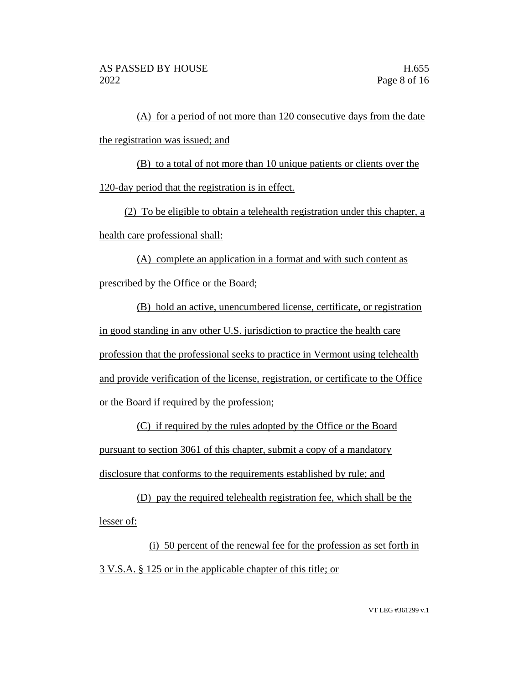(A) for a period of not more than 120 consecutive days from the date the registration was issued; and

(B) to a total of not more than 10 unique patients or clients over the 120-day period that the registration is in effect.

(2) To be eligible to obtain a telehealth registration under this chapter, a health care professional shall:

(A) complete an application in a format and with such content as prescribed by the Office or the Board;

(B) hold an active, unencumbered license, certificate, or registration in good standing in any other U.S. jurisdiction to practice the health care profession that the professional seeks to practice in Vermont using telehealth and provide verification of the license, registration, or certificate to the Office or the Board if required by the profession;

(C) if required by the rules adopted by the Office or the Board pursuant to section 3061 of this chapter, submit a copy of a mandatory disclosure that conforms to the requirements established by rule; and

(D) pay the required telehealth registration fee, which shall be the lesser of:

(i) 50 percent of the renewal fee for the profession as set forth in 3 V.S.A. § 125 or in the applicable chapter of this title; or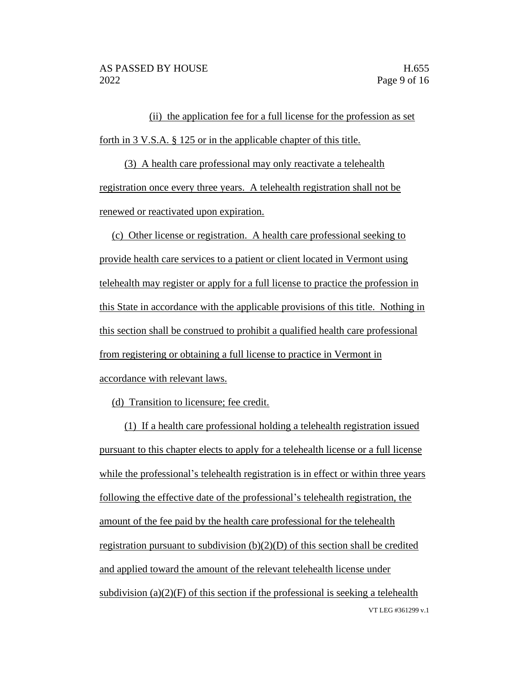(ii) the application fee for a full license for the profession as set forth in 3 V.S.A. § 125 or in the applicable chapter of this title.

(3) A health care professional may only reactivate a telehealth registration once every three years. A telehealth registration shall not be renewed or reactivated upon expiration.

(c) Other license or registration. A health care professional seeking to provide health care services to a patient or client located in Vermont using telehealth may register or apply for a full license to practice the profession in this State in accordance with the applicable provisions of this title. Nothing in this section shall be construed to prohibit a qualified health care professional from registering or obtaining a full license to practice in Vermont in accordance with relevant laws.

(d) Transition to licensure; fee credit.

VT LEG #361299 v.1 (1) If a health care professional holding a telehealth registration issued pursuant to this chapter elects to apply for a telehealth license or a full license while the professional's telehealth registration is in effect or within three years following the effective date of the professional's telehealth registration, the amount of the fee paid by the health care professional for the telehealth registration pursuant to subdivision (b)(2)(D) of this section shall be credited and applied toward the amount of the relevant telehealth license under subdivision  $(a)(2)(F)$  of this section if the professional is seeking a telehealth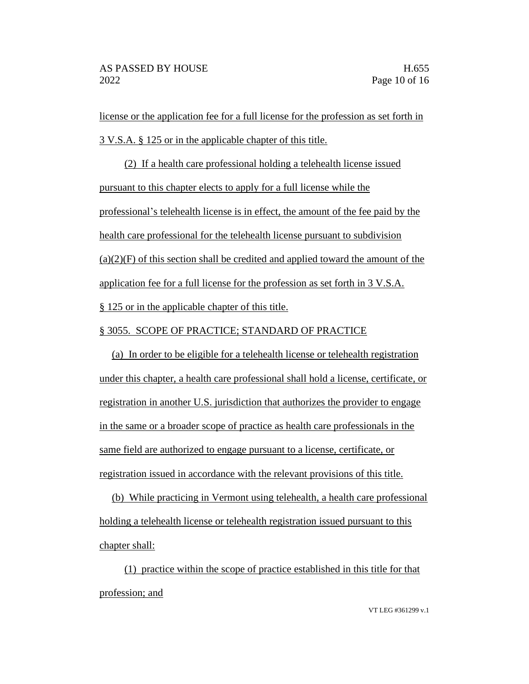license or the application fee for a full license for the profession as set forth in 3 V.S.A. § 125 or in the applicable chapter of this title.

(2) If a health care professional holding a telehealth license issued pursuant to this chapter elects to apply for a full license while the professional's telehealth license is in effect, the amount of the fee paid by the health care professional for the telehealth license pursuant to subdivision  $(a)(2)(F)$  of this section shall be credited and applied toward the amount of the application fee for a full license for the profession as set forth in 3 V.S.A. § 125 or in the applicable chapter of this title.

#### § 3055. SCOPE OF PRACTICE; STANDARD OF PRACTICE

(a) In order to be eligible for a telehealth license or telehealth registration under this chapter, a health care professional shall hold a license, certificate, or registration in another U.S. jurisdiction that authorizes the provider to engage in the same or a broader scope of practice as health care professionals in the same field are authorized to engage pursuant to a license, certificate, or registration issued in accordance with the relevant provisions of this title.

(b) While practicing in Vermont using telehealth, a health care professional holding a telehealth license or telehealth registration issued pursuant to this chapter shall:

(1) practice within the scope of practice established in this title for that profession; and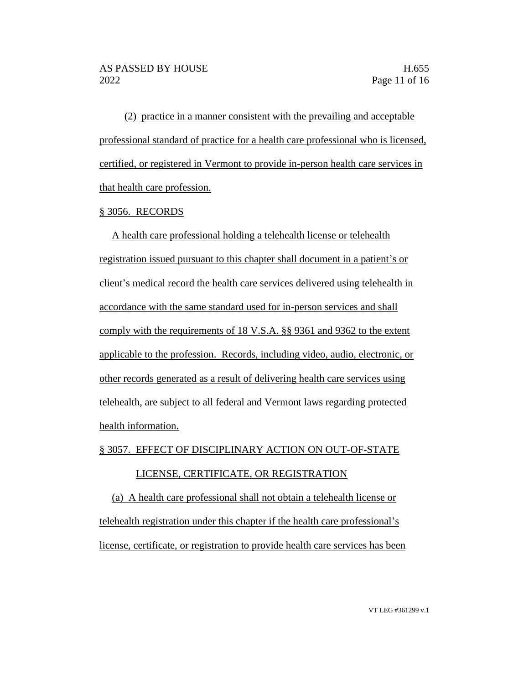(2) practice in a manner consistent with the prevailing and acceptable professional standard of practice for a health care professional who is licensed, certified, or registered in Vermont to provide in-person health care services in that health care profession.

#### § 3056. RECORDS

A health care professional holding a telehealth license or telehealth registration issued pursuant to this chapter shall document in a patient's or client's medical record the health care services delivered using telehealth in accordance with the same standard used for in-person services and shall comply with the requirements of 18 V.S.A. §§ 9361 and 9362 to the extent applicable to the profession. Records, including video, audio, electronic, or other records generated as a result of delivering health care services using telehealth, are subject to all federal and Vermont laws regarding protected health information.

§ 3057. EFFECT OF DISCIPLINARY ACTION ON OUT-OF-STATE

#### LICENSE, CERTIFICATE, OR REGISTRATION

(a) A health care professional shall not obtain a telehealth license or telehealth registration under this chapter if the health care professional's license, certificate, or registration to provide health care services has been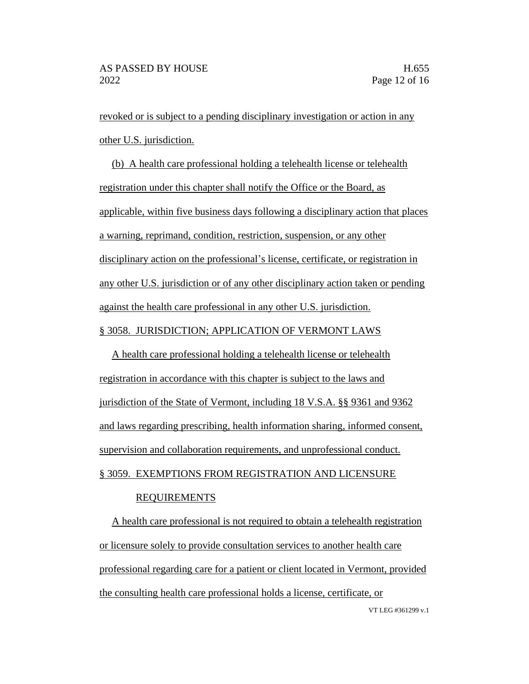revoked or is subject to a pending disciplinary investigation or action in any other U.S. jurisdiction.

(b) A health care professional holding a telehealth license or telehealth registration under this chapter shall notify the Office or the Board, as applicable, within five business days following a disciplinary action that places a warning, reprimand, condition, restriction, suspension, or any other disciplinary action on the professional's license, certificate, or registration in any other U.S. jurisdiction or of any other disciplinary action taken or pending against the health care professional in any other U.S. jurisdiction.

#### § 3058. JURISDICTION; APPLICATION OF VERMONT LAWS

A health care professional holding a telehealth license or telehealth registration in accordance with this chapter is subject to the laws and jurisdiction of the State of Vermont, including 18 V.S.A. §§ 9361 and 9362 and laws regarding prescribing, health information sharing, informed consent, supervision and collaboration requirements, and unprofessional conduct. § 3059. EXEMPTIONS FROM REGISTRATION AND LICENSURE

#### REQUIREMENTS

VT LEG #361299 v.1 A health care professional is not required to obtain a telehealth registration or licensure solely to provide consultation services to another health care professional regarding care for a patient or client located in Vermont, provided the consulting health care professional holds a license, certificate, or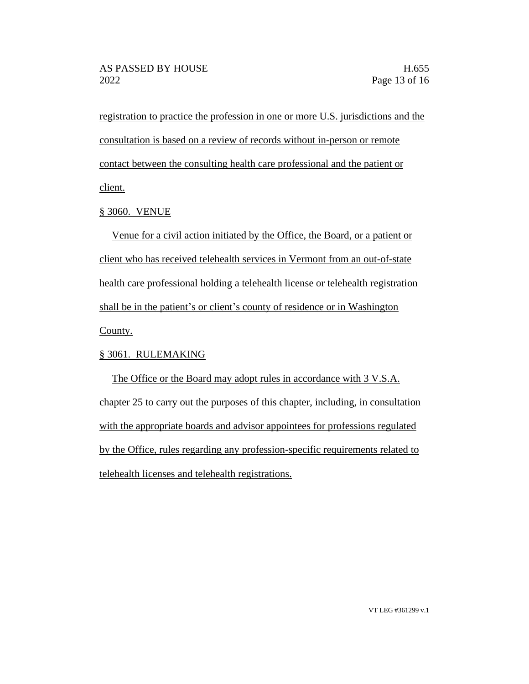registration to practice the profession in one or more U.S. jurisdictions and the consultation is based on a review of records without in-person or remote contact between the consulting health care professional and the patient or client.

#### § 3060. VENUE

Venue for a civil action initiated by the Office, the Board, or a patient or client who has received telehealth services in Vermont from an out-of-state health care professional holding a telehealth license or telehealth registration shall be in the patient's or client's county of residence or in Washington County.

#### § 3061. RULEMAKING

The Office or the Board may adopt rules in accordance with 3 V.S.A. chapter 25 to carry out the purposes of this chapter, including, in consultation with the appropriate boards and advisor appointees for professions regulated by the Office, rules regarding any profession-specific requirements related to telehealth licenses and telehealth registrations.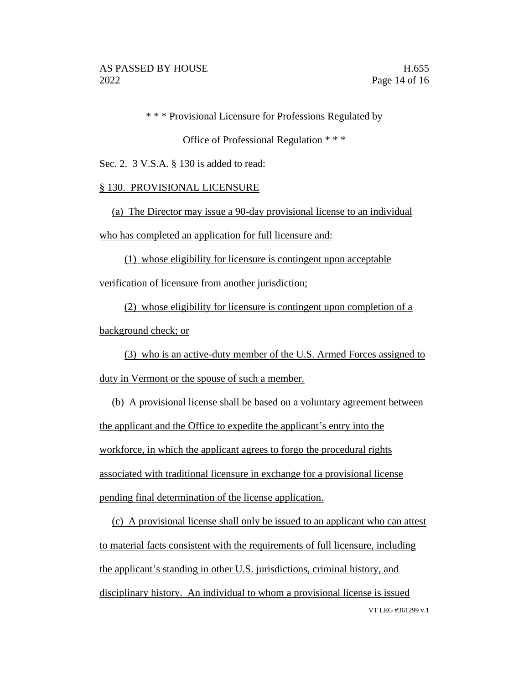\* \* \* Provisional Licensure for Professions Regulated by

Office of Professional Regulation \* \* \*

Sec. 2. 3 V.S.A. § 130 is added to read:

#### § 130. PROVISIONAL LICENSURE

(a) The Director may issue a 90-day provisional license to an individual who has completed an application for full licensure and:

(1) whose eligibility for licensure is contingent upon acceptable verification of licensure from another jurisdiction;

(2) whose eligibility for licensure is contingent upon completion of a

background check; or

(3) who is an active-duty member of the U.S. Armed Forces assigned to duty in Vermont or the spouse of such a member.

(b) A provisional license shall be based on a voluntary agreement between the applicant and the Office to expedite the applicant's entry into the workforce, in which the applicant agrees to forgo the procedural rights associated with traditional licensure in exchange for a provisional license pending final determination of the license application.

VT LEG #361299 v.1 (c) A provisional license shall only be issued to an applicant who can attest to material facts consistent with the requirements of full licensure, including the applicant's standing in other U.S. jurisdictions, criminal history, and disciplinary history. An individual to whom a provisional license is issued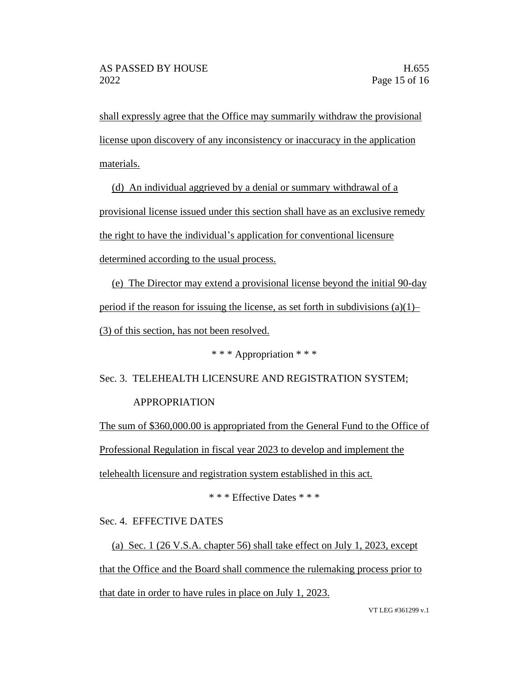shall expressly agree that the Office may summarily withdraw the provisional license upon discovery of any inconsistency or inaccuracy in the application materials.

(d) An individual aggrieved by a denial or summary withdrawal of a provisional license issued under this section shall have as an exclusive remedy the right to have the individual's application for conventional licensure determined according to the usual process.

(e) The Director may extend a provisional license beyond the initial 90-day period if the reason for issuing the license, as set forth in subdivisions  $(a)(1)$ – (3) of this section, has not been resolved.

\* \* \* Appropriation \* \* \*

Sec. 3. TELEHEALTH LICENSURE AND REGISTRATION SYSTEM; APPROPRIATION

The sum of \$360,000.00 is appropriated from the General Fund to the Office of Professional Regulation in fiscal year 2023 to develop and implement the telehealth licensure and registration system established in this act.

\* \* \* Effective Dates \* \* \*

Sec. 4. EFFECTIVE DATES

(a) Sec. 1 (26 V.S.A. chapter 56) shall take effect on July 1, 2023, except that the Office and the Board shall commence the rulemaking process prior to that date in order to have rules in place on July 1, 2023.

VT LEG #361299 v.1